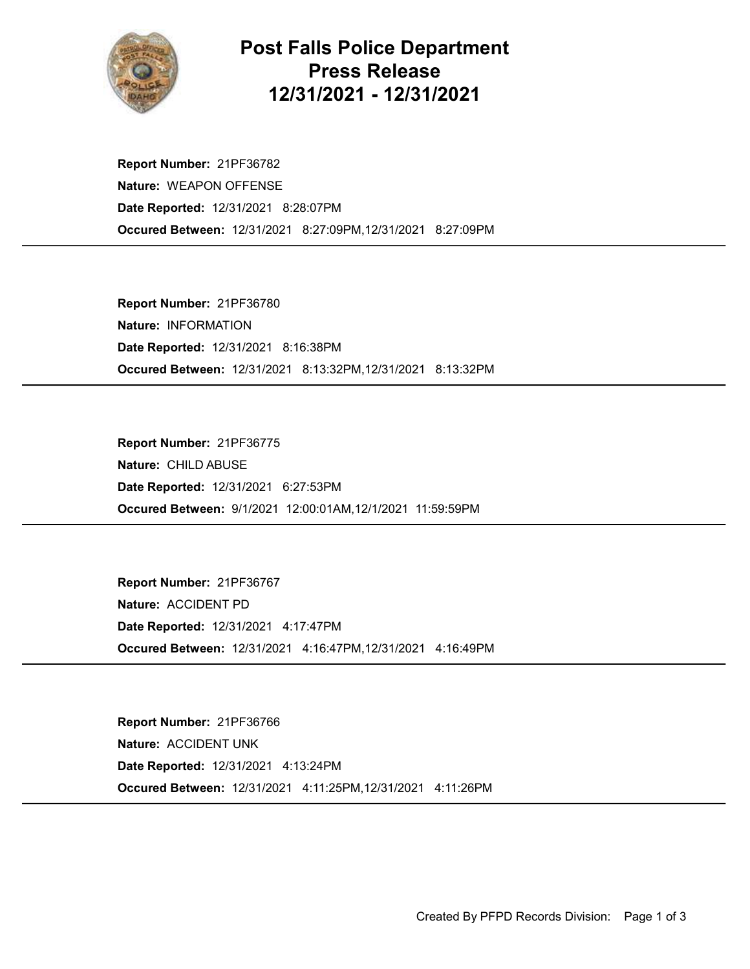

## Post Falls Police Department Press Release 12/31/2021 - 12/31/2021

Occured Between: 12/31/2021 8:27:09PM,12/31/2021 8:27:09PM Report Number: 21PF36782 Nature: WEAPON OFFENSE Date Reported: 12/31/2021 8:28:07PM

Occured Between: 12/31/2021 8:13:32PM,12/31/2021 8:13:32PM Report Number: 21PF36780 Nature: INFORMATION Date Reported: 12/31/2021 8:16:38PM

Occured Between: 9/1/2021 12:00:01AM,12/1/2021 11:59:59PM Report Number: 21PF36775 Nature: CHILD ABUSE Date Reported: 12/31/2021 6:27:53PM

Occured Between: 12/31/2021 4:16:47PM,12/31/2021 4:16:49PM Report Number: 21PF36767 Nature: ACCIDENT PD Date Reported: 12/31/2021 4:17:47PM

Occured Between: 12/31/2021 4:11:25PM,12/31/2021 4:11:26PM Report Number: 21PF36766 Nature: ACCIDENT UNK Date Reported: 12/31/2021 4:13:24PM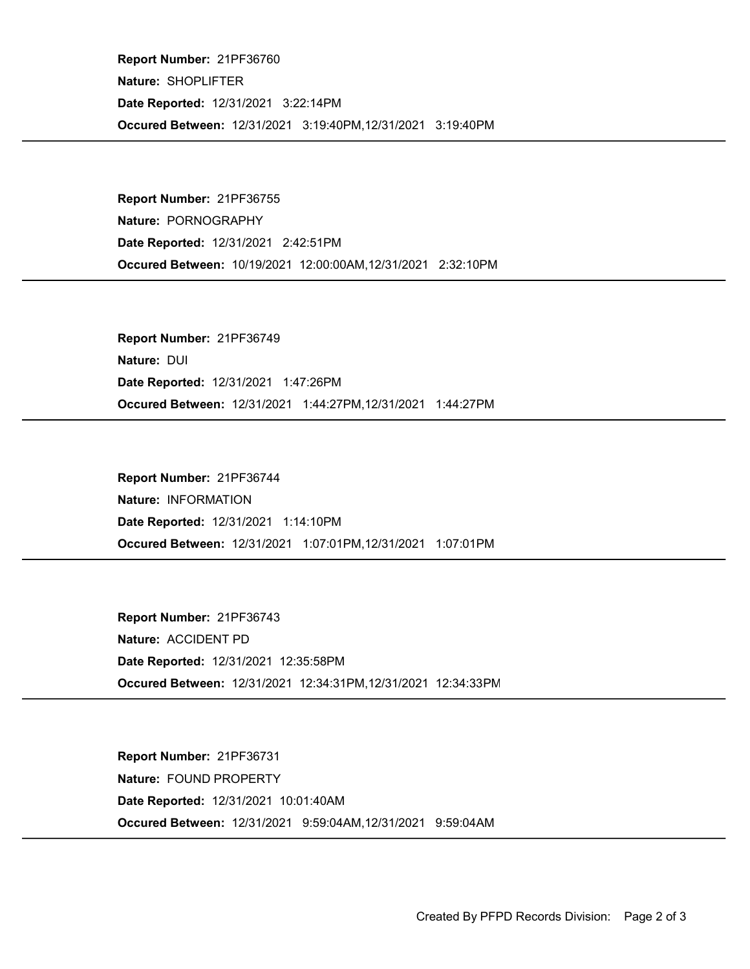Occured Between: 12/31/2021 3:19:40PM,12/31/2021 3:19:40PM Report Number: 21PF36760 Nature: SHOPLIFTER Date Reported: 12/31/2021 3:22:14PM

Occured Between: 10/19/2021 12:00:00AM,12/31/2021 2:32:10PM Report Number: 21PF36755 Nature: PORNOGRAPHY Date Reported: 12/31/2021 2:42:51PM

Occured Between: 12/31/2021 1:44:27PM,12/31/2021 1:44:27PM Report Number: 21PF36749 Nature: DUI Date Reported: 12/31/2021 1:47:26PM

Occured Between: 12/31/2021 1:07:01PM,12/31/2021 1:07:01PM Report Number: 21PF36744 Nature: INFORMATION Date Reported: 12/31/2021 1:14:10PM

Occured Between: 12/31/2021 12:34:31PM,12/31/2021 12:34:33PM Report Number: 21PF36743 Nature: ACCIDENT PD Date Reported: 12/31/2021 12:35:58PM

Occured Between: 12/31/2021 9:59:04AM,12/31/2021 9:59:04AM Report Number: 21PF36731 Nature: FOUND PROPERTY Date Reported: 12/31/2021 10:01:40AM